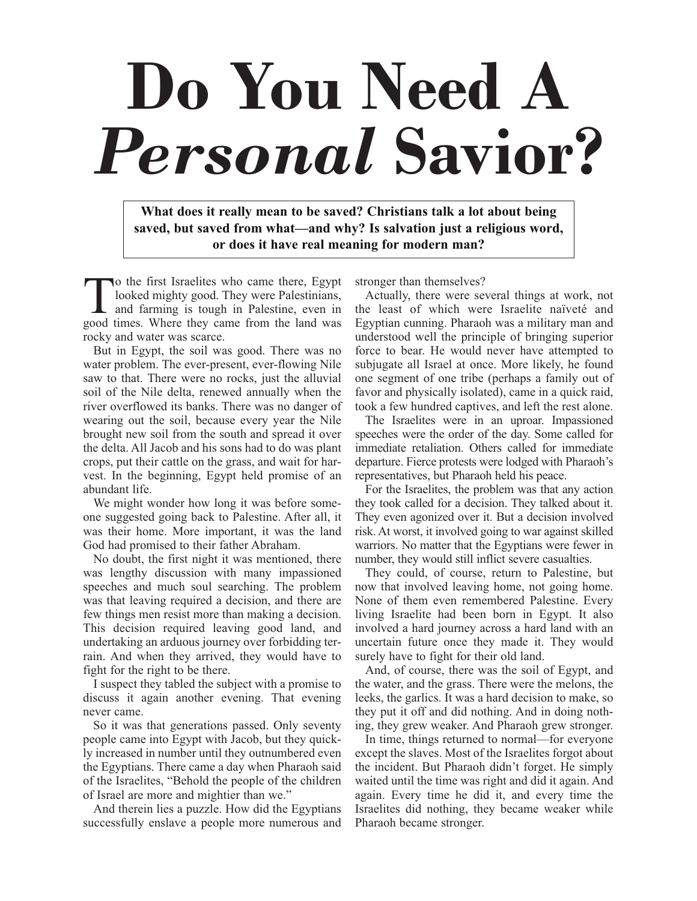# **Do You Need A** *Personal* **Savior?**

**What does it really mean to be saved? Christians talk a lot about being saved, but saved from what—and why? Is salvation just a religious word, or does it have real meaning for modern man?**

To the first Israelites who came there, Egypt looked mighty good. They were Palestinians, and farming is tough in Palestine, even in good times. Where they came from the land was rocky and water was scarce.

But in Egypt, the soil was good. There was no water problem. The ever-present, ever-flowing Nile saw to that. There were no rocks, just the alluvial soil of the Nile delta, renewed annually when the river overflowed its banks. There was no danger of wearing out the soil, because every year the Nile brought new soil from the south and spread it over the delta. All Jacob and his sons had to do was plant crops, put their cattle on the grass, and wait for harvest. In the beginning, Egypt held promise of an abundant life.

We might wonder how long it was before someone suggested going back to Palestine. After all, it was their home. More important, it was the land God had promised to their father Abraham.

No doubt, the first night it was mentioned, there was lengthy discussion with many impassioned speeches and much soul searching. The problem was that leaving required a decision, and there are few things men resist more than making a decision. This decision required leaving good land, and undertaking an arduous journey over forbidding terrain. And when they arrived, they would have to fight for the right to be there.

I suspect they tabled the subject with a promise to discuss it again another evening. That evening never came.

So it was that generations passed. Only seventy people came into Egypt with Jacob, but they quickly increased in number until they outnumbered even the Egyptians. There came a day when Pharaoh said of the Israelites, "Behold the people of the children of Israel are more and mightier than we."

And therein lies a puzzle. How did the Egyptians successfully enslave a people more numerous and stronger than themselves?

Actually, there were several things at work, not the least of which were Israelite naïveté and Egyptian cunning. Pharaoh was a military man and understood well the principle of bringing superior force to bear. He would never have attempted to subjugate all Israel at once. More likely, he found one segment of one tribe (perhaps a family out of favor and physically isolated), came in a quick raid, took a few hundred captives, and left the rest alone.

The Israelites were in an uproar. Impassioned speeches were the order of the day. Some called for immediate retaliation. Others called for immediate departure. Fierce protests were lodged with Pharaoh's representatives, but Pharaoh held his peace.

For the Israelites, the problem was that any action they took called for a decision. They talked about it. They even agonized over it. But a decision involved risk. At worst, it involved going to war against skilled warriors. No matter that the Egyptians were fewer in number, they would still inflict severe casualties.

They could, of course, return to Palestine, but now that involved leaving home, not going home. None of them even remembered Palestine. Every living Israelite had been born in Egypt. It also involved a hard journey across a hard land with an uncertain future once they made it. They would surely have to fight for their old land.

And, of course, there was the soil of Egypt, and the water, and the grass. There were the melons, the leeks, the garlics. It was a hard decision to make, so they put it off and did nothing. And in doing nothing, they grew weaker. And Pharaoh grew stronger.

In time, things returned to normal—for everyone except the slaves. Most of the Israelites forgot about the incident. But Pharaoh didn't forget. He simply waited until the time was right and did it again. And again. Every time he did it, and every time the Israelites did nothing, they became weaker while Pharaoh became stronger.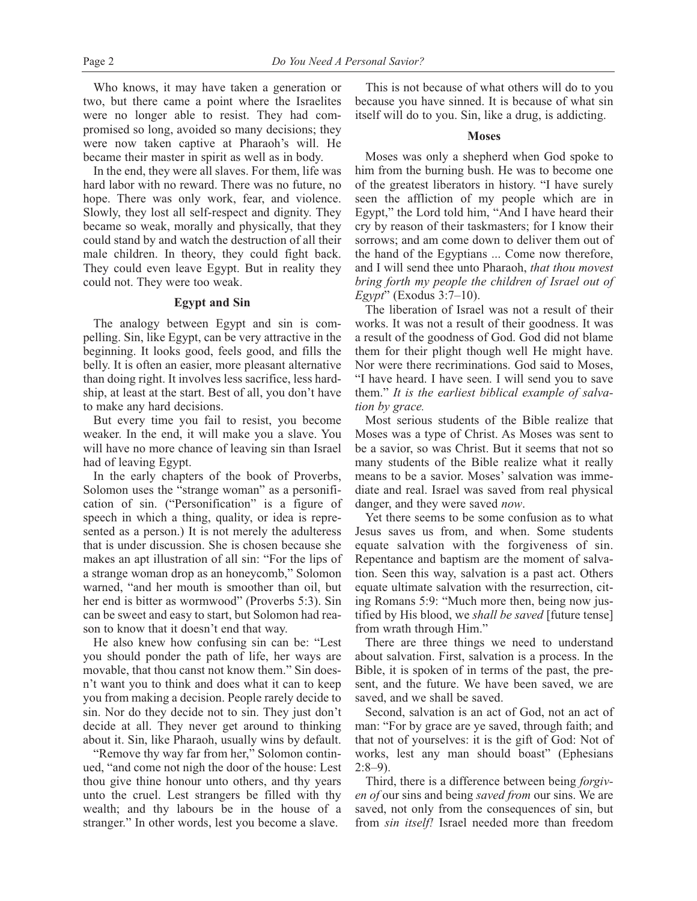Who knows, it may have taken a generation or two, but there came a point where the Israelites were no longer able to resist. They had compromised so long, avoided so many decisions; they were now taken captive at Pharaoh's will. He became their master in spirit as well as in body.

In the end, they were all slaves. For them, life was hard labor with no reward. There was no future, no hope. There was only work, fear, and violence. Slowly, they lost all self-respect and dignity. They became so weak, morally and physically, that they could stand by and watch the destruction of all their male children. In theory, they could fight back. They could even leave Egypt. But in reality they could not. They were too weak.

### **Egypt and Sin**

The analogy between Egypt and sin is compelling. Sin, like Egypt, can be very attractive in the beginning. It looks good, feels good, and fills the belly. It is often an easier, more pleasant alternative than doing right. It involves less sacrifice, less hardship, at least at the start. Best of all, you don't have to make any hard decisions.

But every time you fail to resist, you become weaker. In the end, it will make you a slave. You will have no more chance of leaving sin than Israel had of leaving Egypt.

In the early chapters of the book of Proverbs, Solomon uses the "strange woman" as a personification of sin. ("Personification" is a figure of speech in which a thing, quality, or idea is represented as a person.) It is not merely the adulteress that is under discussion. She is chosen because she makes an apt illustration of all sin: "For the lips of a strange woman drop as an honeycomb," Solomon warned, "and her mouth is smoother than oil, but her end is bitter as wormwood" (Proverbs 5:3). Sin can be sweet and easy to start, but Solomon had reason to know that it doesn't end that way.

He also knew how confusing sin can be: "Lest you should ponder the path of life, her ways are movable, that thou canst not know them." Sin doesn't want you to think and does what it can to keep you from making a decision. People rarely decide to sin. Nor do they decide not to sin. They just don't decide at all. They never get around to thinking about it. Sin, like Pharaoh, usually wins by default.

"Remove thy way far from her," Solomon continued, "and come not nigh the door of the house: Lest thou give thine honour unto others, and thy years unto the cruel. Lest strangers be filled with thy wealth; and thy labours be in the house of a stranger." In other words, lest you become a slave.

This is not because of what others will do to you because you have sinned. It is because of what sin itself will do to you. Sin, like a drug, is addicting.

# **Moses**

Moses was only a shepherd when God spoke to him from the burning bush. He was to become one of the greatest liberators in history. "I have surely seen the affliction of my people which are in Egypt," the Lord told him, "And I have heard their cry by reason of their taskmasters; for I know their sorrows; and am come down to deliver them out of the hand of the Egyptians ... Come now therefore, and I will send thee unto Pharaoh, *that thou movest bring forth my people the children of Israel out of Egypt*" (Exodus 3:7–10).

The liberation of Israel was not a result of their works. It was not a result of their goodness. It was a result of the goodness of God. God did not blame them for their plight though well He might have. Nor were there recriminations. God said to Moses, "I have heard. I have seen. I will send you to save them." *It is the earliest biblical example of salvation by grace.*

Most serious students of the Bible realize that Moses was a type of Christ. As Moses was sent to be a savior, so was Christ. But it seems that not so many students of the Bible realize what it really means to be a savior. Moses' salvation was immediate and real. Israel was saved from real physical danger, and they were saved *now*.

Yet there seems to be some confusion as to what Jesus saves us from, and when. Some students equate salvation with the forgiveness of sin. Repentance and baptism are the moment of salvation. Seen this way, salvation is a past act. Others equate ultimate salvation with the resurrection, citing Romans 5:9: "Much more then, being now justified by His blood, we *shall be saved* [future tense] from wrath through Him."

There are three things we need to understand about salvation. First, salvation is a process. In the Bible, it is spoken of in terms of the past, the present, and the future. We have been saved, we are saved, and we shall be saved.

Second, salvation is an act of God, not an act of man: "For by grace are ye saved, through faith; and that not of yourselves: it is the gift of God: Not of works, lest any man should boast" (Ephesians  $2:8-9$ ).

Third, there is a difference between being *forgiven of* our sins and being *saved from* our sins. We are saved, not only from the consequences of sin, but from *sin itself!* Israel needed more than freedom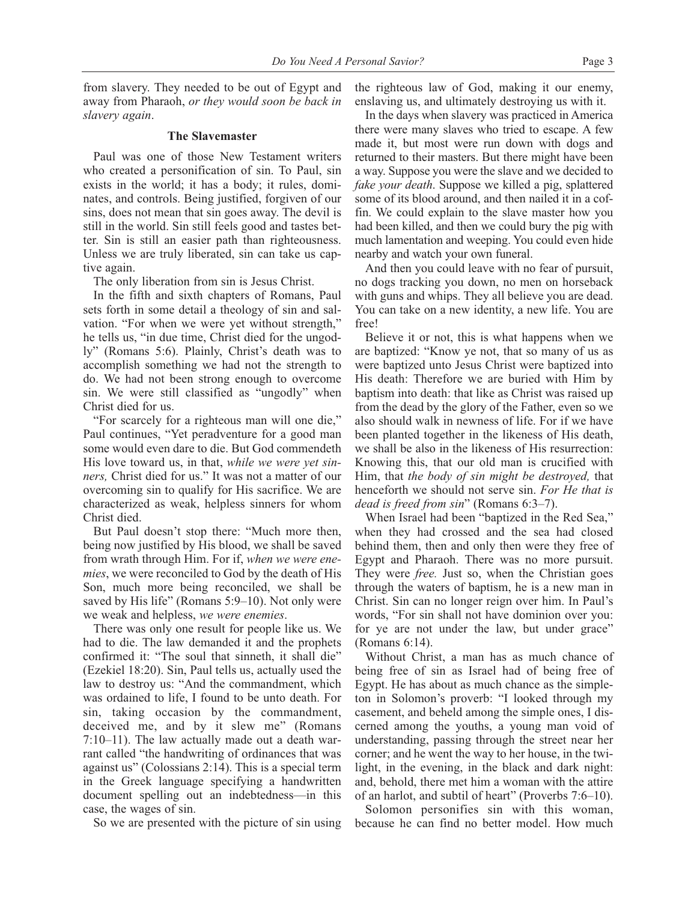from slavery. They needed to be out of Egypt and away from Pharaoh, *or they would soon be back in slavery again*.

## **The Slavemaster**

Paul was one of those New Testament writers who created a personification of sin. To Paul, sin exists in the world; it has a body; it rules, dominates, and controls. Being justified, forgiven of our sins, does not mean that sin goes away. The devil is still in the world. Sin still feels good and tastes better. Sin is still an easier path than righteousness. Unless we are truly liberated, sin can take us captive again.

The only liberation from sin is Jesus Christ.

In the fifth and sixth chapters of Romans, Paul sets forth in some detail a theology of sin and salvation. "For when we were yet without strength," he tells us, "in due time, Christ died for the ungodly" (Romans 5:6). Plainly, Christ's death was to accomplish something we had not the strength to do. We had not been strong enough to overcome sin. We were still classified as "ungodly" when Christ died for us.

"For scarcely for a righteous man will one die," Paul continues, "Yet peradventure for a good man some would even dare to die. But God commendeth His love toward us, in that, *while we were yet sinners,* Christ died for us." It was not a matter of our overcoming sin to qualify for His sacrifice. We are characterized as weak, helpless sinners for whom Christ died.

But Paul doesn't stop there: "Much more then, being now justified by His blood, we shall be saved from wrath through Him. For if, *when we were enemies*, we were reconciled to God by the death of His Son, much more being reconciled, we shall be saved by His life" (Romans 5:9–10). Not only were we weak and helpless, *we were enemies*.

There was only one result for people like us. We had to die. The law demanded it and the prophets confirmed it: "The soul that sinneth, it shall die" (Ezekiel 18:20). Sin, Paul tells us, actually used the law to destroy us: "And the commandment, which was ordained to life, I found to be unto death. For sin, taking occasion by the commandment, deceived me, and by it slew me" (Romans 7:10–11). The law actually made out a death warrant called "the handwriting of ordinances that was against us" (Colossians 2:14). This is a special term in the Greek language specifying a handwritten document spelling out an indebtedness—in this case, the wages of sin.

So we are presented with the picture of sin using

the righteous law of God, making it our enemy, enslaving us, and ultimately destroying us with it.

In the days when slavery was practiced in America there were many slaves who tried to escape. A few made it, but most were run down with dogs and returned to their masters. But there might have been a way. Suppose you were the slave and we decided to *fake your death*. Suppose we killed a pig, splattered some of its blood around, and then nailed it in a coffin. We could explain to the slave master how you had been killed, and then we could bury the pig with much lamentation and weeping. You could even hide nearby and watch your own funeral.

And then you could leave with no fear of pursuit, no dogs tracking you down, no men on horseback with guns and whips. They all believe you are dead. You can take on a new identity, a new life. You are free!

Believe it or not, this is what happens when we are baptized: "Know ye not, that so many of us as were baptized unto Jesus Christ were baptized into His death: Therefore we are buried with Him by baptism into death: that like as Christ was raised up from the dead by the glory of the Father, even so we also should walk in newness of life. For if we have been planted together in the likeness of His death, we shall be also in the likeness of His resurrection: Knowing this, that our old man is crucified with Him, that *the body of sin might be destroyed,* that henceforth we should not serve sin. *For He that is dead is freed from sin*" (Romans 6:3–7).

When Israel had been "baptized in the Red Sea," when they had crossed and the sea had closed behind them, then and only then were they free of Egypt and Pharaoh. There was no more pursuit. They were *free.* Just so, when the Christian goes through the waters of baptism, he is a new man in Christ. Sin can no longer reign over him. In Paul's words, "For sin shall not have dominion over you: for ye are not under the law, but under grace" (Romans 6:14).

Without Christ, a man has as much chance of being free of sin as Israel had of being free of Egypt. He has about as much chance as the simpleton in Solomon's proverb: "I looked through my casement, and beheld among the simple ones, I discerned among the youths, a young man void of understanding, passing through the street near her corner; and he went the way to her house, in the twilight, in the evening, in the black and dark night: and, behold, there met him a woman with the attire of an harlot, and subtil of heart" (Proverbs 7:6–10).

Solomon personifies sin with this woman, because he can find no better model. How much